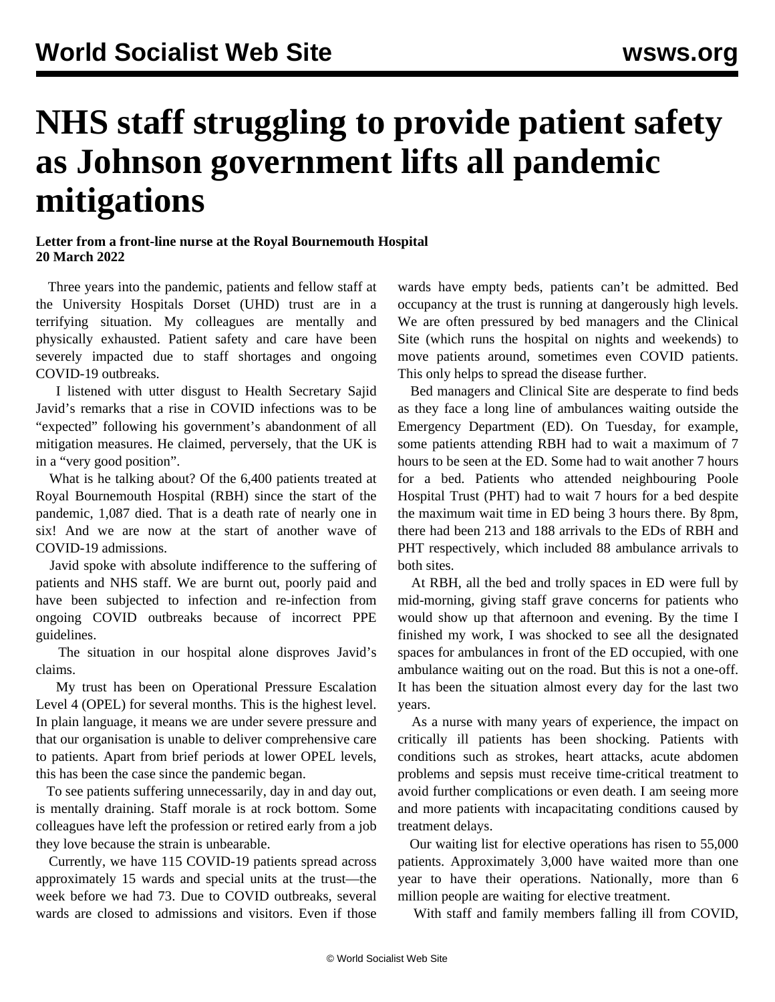## **NHS staff struggling to provide patient safety as Johnson government lifts all pandemic mitigations**

## **Letter from a front-line nurse at the Royal Bournemouth Hospital 20 March 2022**

 Three years into the pandemic, patients and fellow staff at the University Hospitals Dorset (UHD) trust are in a terrifying situation. My colleagues are mentally and physically exhausted. Patient safety and care have been severely impacted due to staff shortages and ongoing COVID-19 outbreaks.

 I listened with utter disgust to Health Secretary Sajid Javid's remarks that a rise in COVID infections was to be "expected" following his government's abandonment of all mitigation measures. He claimed, perversely, that the UK is in a "very good position".

 What is he talking about? Of the 6,400 patients treated at Royal Bournemouth Hospital (RBH) since the start of the pandemic, 1,087 died. That is a death rate of nearly one in six! And we are now at the start of another wave of COVID-19 admissions.

 Javid spoke with absolute indifference to the suffering of patients and NHS staff. We are burnt out, poorly paid and have been subjected to infection and re-infection from ongoing COVID outbreaks because of incorrect PPE guidelines.

 The situation in our hospital alone disproves Javid's claims.

 My trust has been on Operational Pressure Escalation Level 4 (OPEL) for several months. This is the highest level. In plain language, it means we are under severe pressure and that our organisation is unable to deliver comprehensive care to patients. Apart from brief periods at lower OPEL levels, this has been the case since the pandemic began.

 To see patients suffering unnecessarily, day in and day out, is mentally draining. Staff morale is at rock bottom. Some colleagues have left the profession or retired early from a job they love because the strain is unbearable.

 Currently, we have 115 COVID-19 patients spread across approximately 15 wards and special units at the trust—the week before we had 73. Due to COVID outbreaks, several wards are closed to admissions and visitors. Even if those wards have empty beds, patients can't be admitted. Bed occupancy at the trust is running at dangerously high levels. We are often pressured by bed managers and the Clinical Site (which runs the hospital on nights and weekends) to move patients around, sometimes even COVID patients. This only helps to spread the disease further.

 Bed managers and Clinical Site are desperate to find beds as they face a long line of ambulances waiting outside the Emergency Department (ED). On Tuesday, for example, some patients attending RBH had to wait a maximum of 7 hours to be seen at the ED. Some had to wait another 7 hours for a bed. Patients who attended neighbouring Poole Hospital Trust (PHT) had to wait 7 hours for a bed despite the maximum wait time in ED being 3 hours there. By 8pm, there had been 213 and 188 arrivals to the EDs of RBH and PHT respectively, which included 88 ambulance arrivals to both sites.

 At RBH, all the bed and trolly spaces in ED were full by mid-morning, giving staff grave concerns for patients who would show up that afternoon and evening. By the time I finished my work, I was shocked to see all the designated spaces for ambulances in front of the ED occupied, with one ambulance waiting out on the road. But this is not a one-off. It has been the situation almost every day for the last two years.

 As a nurse with many years of experience, the impact on critically ill patients has been shocking. Patients with conditions such as strokes, heart attacks, acute abdomen problems and sepsis must receive time-critical treatment to avoid further complications or even death. I am seeing more and more patients with incapacitating conditions caused by treatment delays.

 Our waiting list for elective operations has risen to 55,000 patients. Approximately 3,000 have waited more than one year to have their operations. Nationally, more than 6 million people are waiting for elective treatment.

With staff and family members falling ill from COVID,